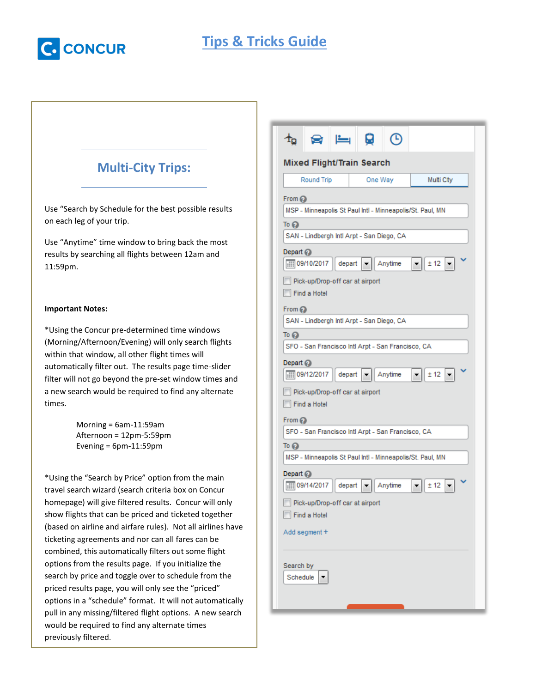

# **Tips & Tricks Guide**

## **Multi-City Trips:**

Use "Search by Schedule for the best possible results on each leg of your trip.

Use "Anytime" time window to bring back the most results by searching all flights between 12am and 11:59pm.

#### **Important Notes:**

\*Using the Concur pre-determined time windows (Morning/Afternoon/Evening) will only search flights within that window, all other flight times will automatically filter out. The results page time-slider filter will not go beyond the pre-set window times and a new search would be required to find any alternate times.

> Morning = 6am-11:59am Afternoon = 12pm-5:59pm Evening = 6pm-11:59pm

\*Using the "Search by Price" option from the main travel search wizard (search criteria box on Concur homepage) will give filtered results. Concur will only show flights that can be priced and ticketed together (based on airline and airfare rules). Not all airlines have ticketing agreements and nor can all fares can be combined, this automatically filters out some flight options from the results page. If you initialize the search by price and toggle over to schedule from the priced results page, you will only see the "priced" options in a "schedule" format. It will not automatically pull in any missing/filtered flight options. A new search would be required to find any alternate times previously filtered.

| $\equiv$                                                        |                                                           |  |  |  |  |  |  |  |
|-----------------------------------------------------------------|-----------------------------------------------------------|--|--|--|--|--|--|--|
| <b>Mixed Flight/Train Search</b>                                |                                                           |  |  |  |  |  |  |  |
| <b>Round Trip</b><br>One Way<br>Multi City                      |                                                           |  |  |  |  |  |  |  |
| From $Q$                                                        |                                                           |  |  |  |  |  |  |  |
|                                                                 | MSP - Minneapolis St Paul Intl - Minneapolis/St. Paul, MN |  |  |  |  |  |  |  |
| To ව                                                            |                                                           |  |  |  |  |  |  |  |
| SAN - Lindbergh Intl Arpt - San Diego, CA                       |                                                           |  |  |  |  |  |  |  |
| Depart $\odot$<br>  09/10/2017<br>depart<br>Anytime<br>▼        | ± 12                                                      |  |  |  |  |  |  |  |
|                                                                 |                                                           |  |  |  |  |  |  |  |
| Pick-up/Drop-off car at airport<br>Find a Hotel                 |                                                           |  |  |  |  |  |  |  |
| From $Q$                                                        |                                                           |  |  |  |  |  |  |  |
| SAN - Lindbergh Intl Arpt - San Diego, CA                       |                                                           |  |  |  |  |  |  |  |
| To @                                                            |                                                           |  |  |  |  |  |  |  |
| SFO - San Francisco Intl Arpt - San Francisco, CA               |                                                           |  |  |  |  |  |  |  |
| Depart $\odot$                                                  |                                                           |  |  |  |  |  |  |  |
| depart<br>Anytime                                               | ± 12                                                      |  |  |  |  |  |  |  |
| Pick-up/Drop-off car at airport<br>Find a Hotel                 |                                                           |  |  |  |  |  |  |  |
| From $Q$                                                        |                                                           |  |  |  |  |  |  |  |
| SFO - San Francisco Intl Arpt - San Francisco, CA               |                                                           |  |  |  |  |  |  |  |
| To (2)                                                          |                                                           |  |  |  |  |  |  |  |
| MSP - Minneapolis St Paul Intl - Minneapolis/St. Paul, MN       |                                                           |  |  |  |  |  |  |  |
| Depart $\odot$<br>$\boxed{111}$ 09/14/2017<br>depart<br>Anytime |                                                           |  |  |  |  |  |  |  |
| ± 12                                                            |                                                           |  |  |  |  |  |  |  |
| Pick-up/Drop-off car at airport<br>Find a Hotel                 |                                                           |  |  |  |  |  |  |  |
| Add segment +                                                   |                                                           |  |  |  |  |  |  |  |
|                                                                 |                                                           |  |  |  |  |  |  |  |
| Search by<br>Schedule                                           |                                                           |  |  |  |  |  |  |  |
|                                                                 |                                                           |  |  |  |  |  |  |  |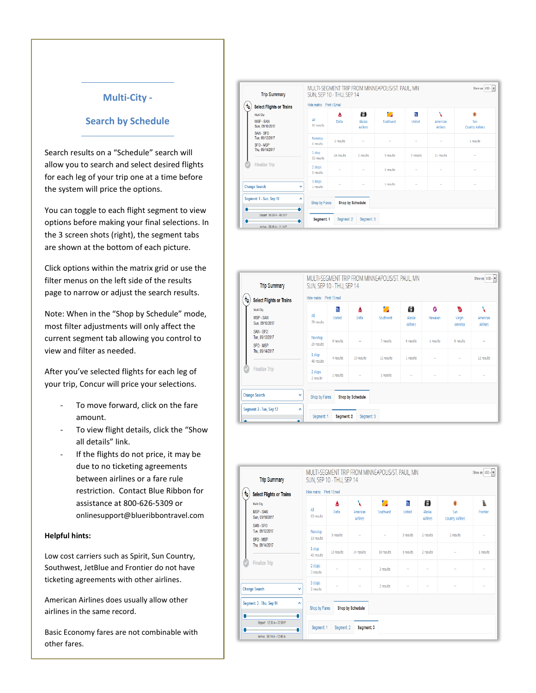### **Multi-City -**

### **Search by Schedule**

Search results on a "Schedule" search will allow you to search and select desired flights for each leg of your trip one at a time before the system will price the options.

You can toggle to each flight segment to view options before making your final selections. In the 3 screen shots (right), the segment tabs are shown at the bottom of each picture.

Click options within the matrix grid or use the filter menus on the left side of the results page to narrow or adjust the search results.

Note: When in the "Shop by Schedule" mode, most filter adjustments will only affect the current segment tab allowing you control to view and filter as needed.

After you've selected flights for each leg of your trip, Concur will price your selections.

- To move forward, click on the fare amount.
- To view flight details, click the "Show all details" link.
- If the flights do not price, it may be due to no ticketing agreements between airlines or a fare rule restriction. Contact Blue Ribbon for assistance at 800-626-5309 or onlinesupport@blueribbontravel.com

#### **Helpful hints:**

Low cost carriers such as Spirit, Sun Country, Southwest, JetBlue and Frontier do not have ticketing agreements with other airlines.

American Airlines does usually allow other airlines in the same record.

Basic Economy fares are not combinable with other fares.

| <b>Trip Summary</b>                                   |                           | SUN, SEP 10 - THU, SEP 14 |                         | MULTI-SEGMENT TRIP FROM MINNEAPOLIS/ST. PAUL, MN |                          |                           | Show as USD -                       |  |
|-------------------------------------------------------|---------------------------|---------------------------|-------------------------|--------------------------------------------------|--------------------------|---------------------------|-------------------------------------|--|
| 布<br><b>Select Flights or Trains</b>                  | Hide matrix Print / Email |                           |                         |                                                  |                          |                           |                                     |  |
| Multi City<br>MSP-SAN<br>Sun. 09/10/2017<br>SAN - SFO | All<br>65 results         | A<br>Delta                | 備<br>Alaska<br>Airlines | $\overline{\phantom{a}}$<br>Southwest            | Ø.<br><b>United</b>      | X<br>American<br>Airlines | Ġ<br>Sun<br><b>Country Airlines</b> |  |
| Tue, 09/12/2017<br>SFO - MSP                          | Nonstop<br>4 results      | 3 results                 |                         |                                                  |                          |                           | 1 results                           |  |
| Thu. 09/14/2017                                       | 1 stop<br>55 results      | 24 results                | 2 results               | 9 results                                        | 9 results                | 11 results                |                                     |  |
| <b>Finalize Trip</b>                                  | 2 stops<br>5 results      |                           |                         | 5 results                                        |                          |                           |                                     |  |
| <b>Change Search</b><br>v                             | 3 stops<br>1 results      |                           |                         | 1 results                                        | $\overline{\phantom{0}}$ |                           |                                     |  |
| Segment: 1 - Sun, Sep 10<br>۸                         | Shop by Fares             |                           | Shop by Schedule        |                                                  |                          |                           |                                     |  |
| ٠<br>Depart 05:30 A - 06:10 P                         | Segment: 1                | Segment: 2                | Segment: 3              |                                                  |                          |                           |                                     |  |
| Arrive 09:45 A - 11:14 P                              |                           |                           |                         |                                                  |                          |                           |                                     |  |

| <b>Trip Summary</b>                                            |                      | MULTI-SEGMENT TRIP FROM MINNEAPOLIS/ST. PAUL, MN<br>SUN, SEP 10 - THU, SEP 14 |            |            |                    |           |                   |                             |  |  |
|----------------------------------------------------------------|----------------------|-------------------------------------------------------------------------------|------------|------------|--------------------|-----------|-------------------|-----------------------------|--|--|
| <b>Select Flights or Trains</b><br>旬                           |                      | Hide matrix Print / Email                                                     |            |            |                    |           |                   |                             |  |  |
| Multi City                                                     |                      | Ñ                                                                             | A          | ◇          | ੰਗੋਂ               | G         | V.                | X                           |  |  |
| MSP-SAN<br>Sun, 09/10/2017                                     | All<br>79 results    | United                                                                        | Delta      | Southwest  | Alaska<br>Airlines | Hawaiian  | Virgin<br>America | American<br><b>Airlines</b> |  |  |
| SAN-SFO<br>Tue. 09/12/2017                                     | Nonstop              | 9 results                                                                     |            | 7 results  | 6 results          | 1 results | 6 results         |                             |  |  |
| SFO-MSP<br>Thu, 09/14/2017                                     | 29 results           |                                                                               |            |            |                    |           |                   |                             |  |  |
|                                                                | 1 stop<br>48 results | 4 results                                                                     | 19 results | 12 results | 1 results          |           | -                 | 12 results                  |  |  |
| <b>Finalize Trip</b>                                           | 2 stops<br>2 results | 1 results                                                                     |            | 1 results  |                    |           |                   |                             |  |  |
| <b>Change Search</b><br>v<br>Shop by Fares<br>Shop by Schedule |                      |                                                                               |            |            |                    |           |                   |                             |  |  |
| Segment: 2 - Tue, Sep 12                                       | ٨<br>Segment: 1      | Segment: 2                                                                    | Segment: 3 |            |                    |           |                   |                             |  |  |

|                                                                                             | <b>Trip Summary</b>                                          | MULTI-SEGMENT TRIP FROM MINNEAPOLIS/ST. PAUL, MN<br>Show as USD -<br>SUN, SEP 10 - THU, SEP 14 |                           |                           |                |                    |                         |                                     |               |  |  |
|---------------------------------------------------------------------------------------------|--------------------------------------------------------------|------------------------------------------------------------------------------------------------|---------------------------|---------------------------|----------------|--------------------|-------------------------|-------------------------------------|---------------|--|--|
| ⇑                                                                                           | <b>Select Flights or Trains</b>                              |                                                                                                | Hide matrix Print / Email |                           |                |                    |                         |                                     |               |  |  |
|                                                                                             | Multi City<br><b>MSP-SAN</b><br>Sun, 09/10/2017              | All<br>63 results                                                                              | A<br>Delta                | ٧<br>American<br>Airlines | O<br>Southwest | Ñ<br><b>United</b> | 筒<br>Alaska<br>Airlines | ŝ<br>Sun<br><b>Country Airlines</b> | ħ<br>Frontier |  |  |
|                                                                                             | SAN - SFO<br>Tue, 09/12/2017<br>SFO - MSP<br>Thu. 09/14/2017 | Nonstop<br>13 results                                                                          | 6 results                 |                           | -              | 3 results          | 2 results               | 2 results                           |               |  |  |
|                                                                                             |                                                              | 1 stop<br>45 results                                                                           | 13 results                | 14 results                | 10 results     | 5 results          | 2 results               |                                     | 1 results     |  |  |
|                                                                                             | <b>Finalize Trip</b>                                         | 2 stops<br>3 results                                                                           |                           |                           | 3 results      |                    |                         |                                     |               |  |  |
|                                                                                             | <b>Change Search</b>                                         | 3 stops<br>v<br>2 results                                                                      |                           |                           | 2 results      |                    |                         |                                     |               |  |  |
| Segment: 3 - Thu, Sep 14<br>$\boldsymbol{\wedge}$<br>Shop by Schedule<br>Shop by Fares<br>٠ |                                                              |                                                                                                |                           |                           |                |                    |                         |                                     |               |  |  |
|                                                                                             | Depart 12:30 A - 07:09 P<br>٠<br>Arrive 06:14 A - 12:49 A    | Segment <sub>1</sub>                                                                           | Segment: 2                | Segment: 3                |                |                    |                         |                                     |               |  |  |